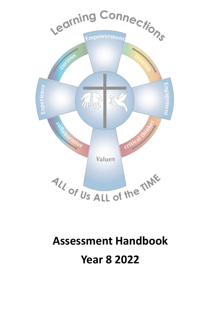

# **Assessment Handbook Year 8 2022**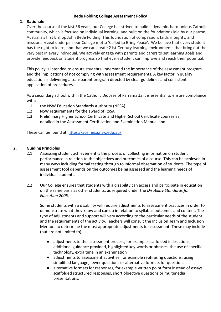#### **Bede Polding College Assessment Policy**

## **1. Rationale**

Over the course of the last 36 years, our College has strived to build a dynamic, harmonious Catholic community, which is focused on individual learning, and built on the foundations laid by our patron, Australia's first Bishop John Bede Polding. This foundation of compassion, faith, integrity, and missionary zeal underpins our College motto 'Called to Bring Peace'. We believe that every student has the right to learn, and that we can create 21st Century learning environments that bring out the very best in every individual. We actively engage with parents and carers to set learning goals and provide feedback on student progress so that every student can improve and reach their potential.

This policy is intended to ensure students understand the importance of the assessment program and the implications of not complying with assessment requirements. A key factor in quality education is delivering a transparent program directed by clear guidelines and consistent application of procedures.

As a secondary school within the Catholic Diocese of Parramatta it is essential to ensure compliance with:

- 1.1 the NSW Education Standards Authority (NESA)
- 1.2 NSW requirements for the award of RoSA
- 1.3 Preliminary Higher School Certificate and Higher School Certificate courses as detailed in the Assessment Certification and Examination Manual and

These can be found at <https://ace.nesa.nsw.edu.au/>

#### **2. Guiding Principles**

- 2.1 Assessing student achievement is the process of collecting information on student performance in relation to the objectives and outcomes of a course. This can be achieved in many ways including formal testing through to informal observation of students. The type of assessment tool depends on the outcomes being assessed and the learning needs of individual students.
- 2.2 Our College ensures that students with a disability can access and participate in education on the same basis as other students, as required under the *Disability Standards for Education 2005.*

Some students with a disability will require adjustments to assessment practices in order to demonstrate what they know and can do in relation to syllabus outcomes and content. The type of adjustments and support will vary according to the particular needs of the student and the requirements of the activity. Teachers will consult the Inclusion Team and Inclusion Mentors to determine the most appropriate adjustments to assessment. These may include (but are not limited to):

- adjustments to the assessment process, for example scaffolded instructions, additional guidance provided, highlighted key-words or phrases, the use of specific technology, extra time in an examination
- adjustments to assessment activities, for example rephrasing questions, using simplified language, fewer questions or alternative formats for questions
- alternative formats for responses, for example written point form instead of essays, scaffolded structured responses, short objective questions or multimedia presentations.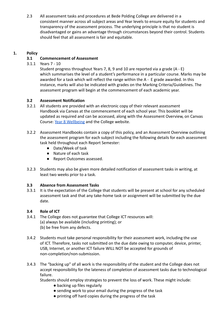2.3 All assessment tasks and procedures at Bede Polding College are delivered in a consistent manner across all subject areas and Year levels to ensure equity for students and transparency of the assessment process. The underlying principle is that no student is disadvantaged or gains an advantage through circumstances beyond their control. Students should feel that all assessment is fair and equitable.

# **1. Policy**

# **3.1 Commencement of Assessment**

3.1.1 Years 7 - 10

Student progress throughout Years 7, 8, 9 and 10 are reported via a grade (A - E) which summarises the level of a student's performance in a particular course. Marks may be awarded for a task which will reflect the range within the A - E grade awarded. In this instance, marks will also be indicated with grades on the Marking Criteria/Guidelines. The assessment program will begin at the commencement of each academic year.

## **3.2 Assessment Notification**

- 3.2.1 All students are provided with an electronic copy of their relevant assessment Handbook via Canvas at the commencement of each school year. This booklet will be updated as required and can be accessed, along with the Assessment Overview, on Canvas Course: [Year 8 Wellbeing](https://canvas.parra.catholic.edu.au/courses/10136) and the College website.
- 3.2.2 Assessment Handbooks contain a copy of this policy, and an Assessment Overview outlining the assessment program for each subject including the following details for each assessment task held throughout each Report Semester:
	- Date/Week of task
	- Nature of each task
	- Report Outcomes assessed.
- 3.2.3 Students may also be given more detailed notification of assessment tasks in writing, at least two weeks prior to a task.

# **3.3 Absence from Assessment Tasks**

3.3.1 It is the expectation of the College that students will be present at school for any scheduled assessment task and that any take-home task or assignment will be submitted by the due date.

# **3.4 Role of ICT**

- 3.4.1 The College does not guarantee that College ICT resources will: (a) always be available (including printing); or (b) be free from any defects.
- 3.4.2 Students must take personal responsibility for their assessment work, including the use of ICT. Therefore, tasks not submitted on the due date owing to computer, device, printer, USB, Internet, or another ICT failure WILL NOT be accepted for grounds of non-completion/non-submission.
- 3.4.3 The "backing up" of all work is the responsibility of the student and the College does not accept responsibility for the lateness of completion of assessment tasks due to technological failure.
	- Students should employ strategies to prevent the loss of work. These might include:
		- backing up files regularly
		- sending work to your email during the progress of the task
		- printing off hard copies during the progress of the task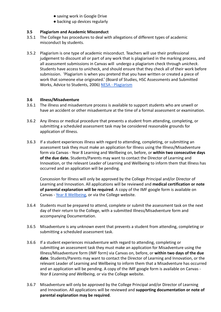- saving work in Google Drive
- backing up devices regularly

## **3.5 Plagiarism and Academic Misconduct**

- 3.5.1 The College has procedures to deal with allegations of different types of academic misconduct by students.
- 3.5.2 Plagiarism is one type of academic misconduct. Teachers will use their professional judgement to discount all or part of any work that is plagiarised in the marking process, and all assessment submissions in Canvas will undergo a plagiarism check through *unicheck*. Students have access to unicheck, and should ensure that they check all of their work before submission. 'Plagiarism is when you pretend that you have written or created a piece of work that someone else originated.' (Board of Studies, HSC Assessments and Submitted Works, Advice to Students, 2006) [NESA - Plagiarism](https://www.educationstandards.nsw.edu.au/wps/portal/nesa/11-12/hsc/hsc-all-my-own-work/plagiarism/!ut/p/z1/rVNLc4IwEP4tHjhmsnlI8EgfitbXVFHJxcFIFYWAyEj11xec9qi0Y_eQmczs99jNFyzxAkvtn8KNn4eJ9qPy7klzybsOAAPat_pTCjYbzLrjtoDhxMTzawO1iUkcTt5GHYuAPR0Rk_YEHblNLCs8oR1CLDoAQQXY7-Pn8YvTptBvfuPhRtnwO_ydBnnf_wxLLJXO03yLvbRYqkTngc4NSLNkF6gcFcHKAB0cfQMIQYQasD2q64H8KELxGSWFRkWS7UtM5G9CPwuPccWaqnCNvZVqgUXXLSTWJkNccY4sEayQCAhlnIEq62eK2zbl_SXNK72ad6jj8EoP4qYHyvH8FAYFdnWSxWUyJn8c0alVIA8q1NCLB-l7dVEq_0q4OxykXQaqStFnjhf_mKg0dl03ttgZ7T8Gr4x7vdPlaYikZzcaXwIrPCg!/dz/d5/L2dBISEvZ0FBIS9nQSEh/?urile=wcm%3Apath%3A%2Fpw_content%2Fproject-web%2Fnesa%2F11-12%2Fhsc%2Fhsc-all-my-own-work%2Fplagiarism)

#### **3.6 Illness/Misadventure**

- 3.6.1 The illness and misadventure process is available to support students who are unwell or have an accident or other misadventure at the time of a formal assessment or examination.
- 3.6.2 Any illness or medical procedure that prevents a student from attending, completing, or submitting a scheduled assessment task may be considered reasonable grounds for application of Illness.
- 3.6.3 If a student experiences illness with regard to attending, completing, or submitting an assessment task they must make an application for Illness using the Illness/Misadventure form via Canvas - Year 8 Learning and Wellbeing on, before, or **within two consecutive days of the due date.** Students/Parents may want to contact the Director of Learning and Innovation, or the relevant Leader of Learning and Wellbeing to inform them that Illness has occurred and an application will be pending.

Concession for Illness will only be approved by the College Principal and/or Director of Learning and Innovation. All applications will be reviewed and **medical certification or note of parental explanation will be required**. A copy of the IMF google form is available on Canvas - [Year 8 Wellbeing](https://canvas.parra.catholic.edu.au/courses/10136)*,* or via the College website.

- 3.6.4 Students must be prepared to attend, complete or submit the assessment task on the next day of their return to the College, with a submitted Illness/Misadventure form and accompanying Documentation.
- 3.6.5 Misadventure is any unknown event that prevents a student from attending, completing or submitting a scheduled assessment task.
- 3.6.6 If a student experiences misadventure with regard to attending, completing or submitting an assessment task they must make an application for Misadventure using the Illness/Misadventure form (IMF form) via Canvas on, before, or **within two days of the due date**. Students/Parents may want to contact the Director of Learning and Innovation, or the relevant Leader of Learning and Wellbeing to inform them that a Misadventure has occurred and an application will be pending. A copy of the IMF google form is available on Canvas - *Year 8 Learning and Wellbeing,* or via the College website.
- 3.6.7 Misadventure will only be approved by the College Principal and/or Director of Learning and Innovation. All applications will be reviewed and **supporting documentation or note of parental explanation may be required**.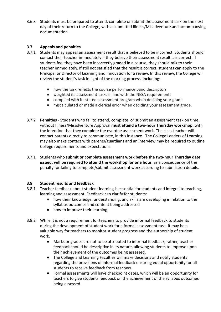3.6.8 Students must be prepared to attend, complete or submit the assessment task on the next day of their return to the College, with a submitted Illness/Misadventure and accompanying documentation.

## **3.7 Appeals and penalties**

- 3.7.1 Students may appeal an assessment result that is believed to be incorrect. Students should contact their teacher immediately if they believe their assessment result is incorrect. If students feel they have been incorrectly graded in a course, they should talk to their teacher immediately. If still not satisfied that the result is correct, students can apply to the Principal or Director of Learning and Innovation for a review. In this review, the College will review the student's task in light of the marking process, including:
	- how the task reflects the course performance band descriptors
	- weighted its assessment tasks in line with the NESA requirements
	- complied with its stated assessment program when deciding your grade
	- miscalculated or made a clerical error when deciding your assessment grade.
- 3.7.2 **Penalties** Students who fail to attend, complete, or submit an assessment task on time, without Illness/Misadventure Approval **must attend a two-hour Thursday workshop**, with the intention that they complete the overdue assessment work. The class teacher will contact parents directly to communicate, in this instance. The College Leaders of Learning may also make contact with parents/guardians and an interview may be required to outline College requirements and expectations.
- 3.7.1 Students who **submit or complete assessment work before the two-hour Thursday date issued, will be required to attend the workshop for one hour**, as a consequence of the penalty for failing to complete/submit assessment work according to submission details.

#### **3.8 Student results and feedback**

- 3.8.1 Teacher feedback about student learning is essential for students and integral to teaching, learning and assessment. Feedback can clarify for students:
	- how their knowledge, understanding, and skills are developing in relation to the syllabus outcomes and content being addressed
	- how to improve their learning.
- 3.8.2 While it is not a requirement for teachers to provide informal feedback to students during the development of student work for a formal assessment task, it may be a valuable way for teachers to monitor student progress and the authorship of student work.
	- Marks or grades are not to be attributed to informal feedback, rather, teacher feedback should be descriptive in its nature, allowing students to improve upon their achievement of the outcomes being assessed.
	- The College and Learning Faculties will make decisions and notify students regarding the provisions of informal feedback ensuring equal opportunity for all students to receive feedback from teachers.
	- Formal assessments will have checkpoint dates, which will be an opportunity for teachers to give students feedback on the achievement of the syllabus outcomes being assessed.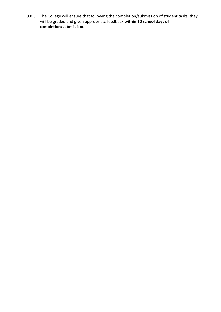3.8.3 The College will ensure that following the completion/submission of student tasks, they will be graded and given appropriate feedback **within 10 school days of completion/submission**.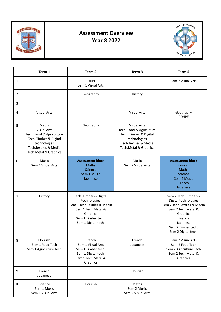

# **Assessment Overview Year 8 2022**



|    | Term 1                                                                                                                                              | Term <sub>2</sub>                                                                                                                                    | Term <sub>3</sub>                                                                                                                          | Term 4                                                                                                                                                                           |
|----|-----------------------------------------------------------------------------------------------------------------------------------------------------|------------------------------------------------------------------------------------------------------------------------------------------------------|--------------------------------------------------------------------------------------------------------------------------------------------|----------------------------------------------------------------------------------------------------------------------------------------------------------------------------------|
| 1  |                                                                                                                                                     | <b>PDHPE</b><br>Sem 1 Visual Arts                                                                                                                    |                                                                                                                                            | Sem 2 Visual Arts                                                                                                                                                                |
| 2  |                                                                                                                                                     | Geography                                                                                                                                            | History                                                                                                                                    |                                                                                                                                                                                  |
| 3  |                                                                                                                                                     |                                                                                                                                                      |                                                                                                                                            |                                                                                                                                                                                  |
| 4  | <b>Visual Arts</b>                                                                                                                                  |                                                                                                                                                      | <b>Visual Arts</b>                                                                                                                         | Geography<br><b>PDHPE</b>                                                                                                                                                        |
| 5  | Maths<br><b>Visual Arts</b><br>Tech. Food & Agriculture<br>Tech. Timber & Digital<br>technologies<br>Tech.Textiles & Media<br>Tech.Metal & Graphics | Geography                                                                                                                                            | <b>Visual Arts</b><br>Tech. Food & Agriculture<br>Tech. Timber & Digital<br>technologies<br>Tech.Textiles & Media<br>Tech.Metal & Graphics |                                                                                                                                                                                  |
| 6  | <b>Music</b><br>Sem 1 Visual Arts                                                                                                                   | <b>Assessment block</b><br><b>Maths</b><br>Science<br>Sem 1 Music<br>Japanese                                                                        | Music<br>Sem 2 Visual Arts                                                                                                                 | <b>Assessment block</b><br>Flourish<br><b>Maths</b><br>Science<br>Sem 2 Music<br>French<br>Japanese                                                                              |
| 7  | History                                                                                                                                             | Tech. Timber & Digital<br>technologies<br>Sem 1 Tech.Textiles & Media<br>Sem 1 Tech.Metal &<br>Graphics<br>Sem 1 Timber tech.<br>Sem 1 Digital tech. |                                                                                                                                            | Sem 2 Tech. Timber &<br>Digital technologies<br>Sem 2 Tech.Textiles & Media<br>Sem 2 Tech.Metal &<br>Graphics<br>French<br>Japanese<br>Sem 2 Timber tech.<br>Sem 2 Digital tech. |
| 8  | Flourish<br>Sem 1 Food Tech<br>Sem 1 Agriculture Tech                                                                                               | French<br>Sem 1 Visual Arts<br>Sem 1 Timber tech.<br>Sem 1 Digital tech.<br>Sem 1 Tech.Metal &<br>Graphics                                           | French<br>Japanese                                                                                                                         | Sem 2 Visual Arts<br>Sem 2 Food Tech<br>Sem 2 Agriculture Tech<br>Sem 2 Tech.Metal &<br>Graphics                                                                                 |
| 9  | French<br>Japanese                                                                                                                                  |                                                                                                                                                      | Flourish                                                                                                                                   |                                                                                                                                                                                  |
| 10 | Science<br>Sem 1 Music<br>Sem 1 Visual Arts                                                                                                         | Flourish                                                                                                                                             | Maths<br>Sem 2 Music<br>Sem 2 Visual Arts                                                                                                  |                                                                                                                                                                                  |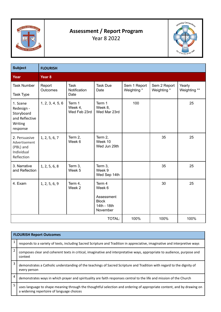

# **Assessment / Report Program** Year 8 2022



| <b>Subject</b>                                                                | <b>FLOURISH</b>    |                                     |                                                                           |                             |                             |                        |
|-------------------------------------------------------------------------------|--------------------|-------------------------------------|---------------------------------------------------------------------------|-----------------------------|-----------------------------|------------------------|
| Year                                                                          | Year <sub>8</sub>  |                                     |                                                                           |                             |                             |                        |
| <b>Task Number</b><br><b>Task Type</b>                                        | Report<br>Outcomes | <b>Task</b><br>Notification<br>Date | <b>Task Due</b><br>Date                                                   | Sem 1 Report<br>Weighting * | Sem 2 Report<br>Weighting * | Yearly<br>Weighting ** |
| 1. Scene<br>Redesign -<br>Storyboard<br>and Reflective<br>Writing<br>response | 1, 2, 3, 4, 5, 6   | Term 1<br>Week 4,<br>Wed Feb 23rd   | Term 1<br>Week 8,<br>Wed Mar 23rd                                         | 100                         |                             | 25                     |
| 2. Persuasive<br>Advertisement<br>(PBL) and<br>Individual<br>Reflection       | 1, 2, 5, 6, 7      | Term 2,<br>Week 6                   | Term 2,<br>Week 10<br>Wed Jun 29th                                        |                             | 35                          | 25                     |
| 3. Narrative<br>and Reflection                                                | 1, 2, 5, 6, 8      | Term 3,<br>Week 5                   | Term 3,<br>Week 9<br>Wed Sep 14th                                         |                             | 35                          | 25                     |
| 4. Exam                                                                       | 1, 2, 5, 6, 9      | Term 4,<br>Week 2                   | Term 4<br>Week 6<br>Assessment<br><b>Block</b><br>14th - 18th<br>November |                             | 30                          | 25                     |
|                                                                               |                    |                                     | <b>TOTAL:</b>                                                             | 100%                        | 100%                        | 100%                   |

|   | <b>FLOURISH Report Outcomes</b>                                                                                                                                     |
|---|---------------------------------------------------------------------------------------------------------------------------------------------------------------------|
| 1 | responds to a variety of texts, including Sacred Scripture and Tradition in appreciative, imaginative and interpretive ways                                         |
| 2 | composes clear and coherent texts in critical, imaginative and interpretative ways, appropriate to audience, purpose and<br>context                                 |
| 3 | demonstrates a Catholic understanding of the teachings of Sacred Scripture and Tradition with regard to the dignity of<br>every person                              |
| 4 | demonstrates ways in which prayer and spirituality are faith responses central to the life and mission of the Church                                                |
| 5 | uses language to shape meaning through the thoughtful selection and ordering of appropriate content, and by drawing on<br>a widening repertoire of language choices |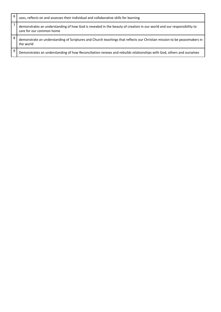| 6 | uses, reflects on and assesses their individual and collaborative skills for learning                                                             |
|---|---------------------------------------------------------------------------------------------------------------------------------------------------|
|   | demonstrates an understanding of how God is revealed in the beauty of creation in our world and our responsibility to<br>care for our common home |
| 8 | demonstrate an understanding of Scriptures and Church teachings that reflects our Christian mission to be peacemakers in<br>the world             |
| 9 | Demonstrates an understanding of how Reconciliation renews and rebuilds relationships with God, others and ourselves                              |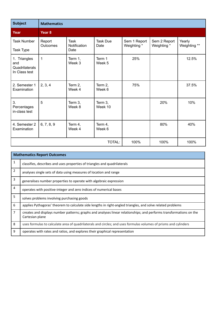| <b>Subject</b>                                         | <b>Mathematics</b> |                                     |                         |                             |                             |                        |
|--------------------------------------------------------|--------------------|-------------------------------------|-------------------------|-----------------------------|-----------------------------|------------------------|
| Year                                                   | Year <sub>8</sub>  |                                     |                         |                             |                             |                        |
| <b>Task Number</b><br>Task Type                        | Report<br>Outcomes | <b>Task</b><br>Notification<br>Date | <b>Task Due</b><br>Date | Sem 1 Report<br>Weighting * | Sem 2 Report<br>Weighting * | Yearly<br>Weighting ** |
| 1. Triangles<br>and<br>Quadrilaterals<br>In Class test | $\mathbf{1}$       | Term 1,<br>Week 3                   | Term 1<br>Week 5        | 25%                         |                             | 12.5%                  |
| 2. Semester 1<br>Examination                           | 2, 3, 4            | Term 2,<br>Week 4                   | Term 2,<br>Week 6       | 75%                         |                             | 37.5%                  |
| 3.<br>Percentages<br>in-class test                     | 5                  | Term 3,<br>Week 8                   | Term 3,<br>Week 10      |                             | 20%                         | 10%                    |
| 4. Semester 2<br>Examination                           | 6, 7, 8, 9         | Term 4,<br>Week 4                   | Term 4,<br>Week 6       |                             | 80%                         | 40%                    |
|                                                        |                    |                                     | <b>TOTAL:</b>           | 100%                        | 100%                        | 100%                   |

|                | <b>Mathematics Report Outcomes</b>                                                                                                     |
|----------------|----------------------------------------------------------------------------------------------------------------------------------------|
| 1              | classifies, describes and uses properties of triangles and quadrilaterals                                                              |
| $\overline{2}$ | analyses single sets of data using measures of location and range                                                                      |
| 3              | generalises number properties to operate with algebraic expression                                                                     |
| $\overline{4}$ | operates with positive-integer and zero indices of numerical bases                                                                     |
| 5              | solves problems involving purchasing goods                                                                                             |
| 6              | applies Pythagoras' theorem to calculate side lengths in right-angled triangles, and solve related problems                            |
| 7              | creates and displays number patterns; graphs and analyses linear relationships; and performs transformations on the<br>Cartesian plane |
| 8              | uses formulas to calculate area of quadrilaterals and circles; and uses formulas volumes of prisms and cylinders                       |
| 9              | operates with rates and ratios, and explores their graphical representation                                                            |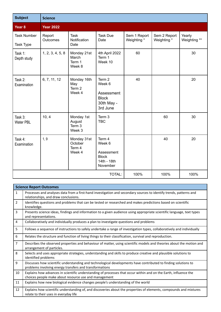| <b>Subject</b>                  | <b>Science</b>     |                                            |                                                                           |                             |                             |                        |
|---------------------------------|--------------------|--------------------------------------------|---------------------------------------------------------------------------|-----------------------------|-----------------------------|------------------------|
| Year <sub>8</sub>               | <b>Year 2022</b>   |                                            |                                                                           |                             |                             |                        |
| <b>Task Number</b><br>Task Type | Report<br>Outcomes | <b>Task</b><br>Notification<br>Date        | <b>Task Due</b><br>Date                                                   | Sem 1 Report<br>Weighting * | Sem 2 Report<br>Weighting * | Yearly<br>Weighting ** |
| Task 1:<br>Depth study          | 1, 2, 3, 4, 5, 8   | Monday 21st<br>March<br>Term 1<br>Week 8   | 4th April 2022<br>Term 1<br>Week 10                                       | 60                          |                             | 30                     |
| Task 2:<br>Examination          | 6, 7, 11, 12       | Monday 16th<br>May<br>Term 2<br>Week 4     | Term 2<br>Week 6<br>Assessment<br><b>Block</b><br>30th May -<br>3rd June  | 40                          |                             | 20                     |
| Task 3:<br><b>Water PBL</b>     | 10, 4              | Monday 1st<br>August<br>Term 3<br>Week 3   | Term 3<br><b>TBC</b>                                                      |                             | 60                          | 30                     |
| Task 4:<br>Examination          | 1, 9               | Monday 31st<br>October<br>Term 4<br>Week 4 | Term 4<br>Week 6<br>Assessment<br><b>Block</b><br>14th - 18th<br>November |                             | 40                          | 20                     |
|                                 |                    |                                            | TOTAL:                                                                    | 100%                        | 100%                        | 100%                   |

|                | <b>Science Report Outcomes</b>                                                                                                                                            |
|----------------|---------------------------------------------------------------------------------------------------------------------------------------------------------------------------|
| $\mathbf{1}$   | Processes and analyses data from a first-hand investigation and secondary sources to identify trends, patterns and<br>relationships, and draw conclusions.                |
| $\overline{2}$ | Identifies questions and problems that can be tested or researched and makes predictions based on scientific<br>knowledge.                                                |
| 3              | Presents science ideas, findings and information to a given audience using appropriate scientific language, text types<br>and representations.                            |
| 4              | Collaboratively and individually produces a plan to investigate questions and problems                                                                                    |
| 5              | Follows a sequence of instructions to safely undertake a range of investigation types, collaboratively and individually                                                   |
| 6              | Relates the structure and function of living things to their classification, survival and reproduction.                                                                   |
| 7              | Describes the observed properties and behaviour of matter, using scientific models and theories about the motion and<br>arrangement of particles.                         |
| 8              | Selects and uses appropriate strategies, understanding and skills to produce creative and plausible solutions to<br>identified problems                                   |
| 9              | Discusses how scientific understanding and technological developments have contributed to finding solutions to<br>problems involving energy transfers and transformations |
| 10             | Explains how advances in scientific understanding of processes that occur within and on the Earth, influence the<br>choices people make about resource use and management |
| 11             | Explains how new biological evidence changes people's understanding of the world                                                                                          |
| 12             | Explains how scientific understanding of, and discoveries about the properties of elements, compounds and mixtures<br>relate to their uses in everyday life               |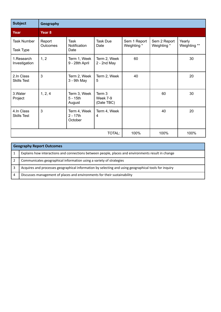| <b>Subject</b>                   | Geography          |                                        |                                  |                             |                             |                        |
|----------------------------------|--------------------|----------------------------------------|----------------------------------|-----------------------------|-----------------------------|------------------------|
| Year                             | Year <sub>8</sub>  |                                        |                                  |                             |                             |                        |
| <b>Task Number</b><br>Task Type  | Report<br>Outcomes | Task<br>Notification<br>Date           | <b>Task Due</b><br>Date          | Sem 1 Report<br>Weighting * | Sem 2 Report<br>Weighting * | Yearly<br>Weighting ** |
| 1.Research<br>Investigation      | 1, 2               | Term 1, Week<br>9 - 28th April         | Term 2, Week<br>$2 - 2nd$ May    | 60                          |                             | 30                     |
| 2.In Class<br><b>Skills Test</b> | 3                  | Term 2, Week<br>3 - 9th May            | Term 2, Week<br>5                | 40                          |                             | 20                     |
| 3. Water<br>Project              | 1, 2, 4            | Term 3, Week<br>$5 - 15$ th<br>August  | Term 3<br>Week 7-9<br>(Date TBC) |                             | 60                          | 30                     |
| 4.In Class<br><b>Skills Test</b> | 3                  | Term 4, Week<br>$2 - 17$ th<br>October | Term 4, Week<br>4                |                             | 40                          | 20                     |
| TOTAL:                           |                    |                                        | 100%                             | 100%                        | 100%                        |                        |

|   | <b>Geography Report Outcomes</b>                                                                      |
|---|-------------------------------------------------------------------------------------------------------|
|   | Explains how interactions and connections between people, places and environments result in change    |
|   | Communicates geographical information using a variety of strategies                                   |
|   | Acquires and processes geographical information by selecting and using geographical tools for inquiry |
| 4 | Discusses management of places and environments for their sustainability                              |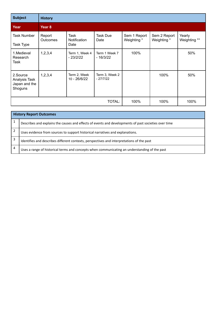| <b>Subject</b>                                        | <b>History</b>     |                              |                              |                             |                             |                        |
|-------------------------------------------------------|--------------------|------------------------------|------------------------------|-----------------------------|-----------------------------|------------------------|
| Year                                                  | Year <sub>8</sub>  |                              |                              |                             |                             |                        |
| Task Number<br><b>Task Type</b>                       | Report<br>Outcomes | Task<br>Notification<br>Date | <b>Task Due</b><br>Date      | Sem 1 Report<br>Weighting * | Sem 2 Report<br>Weighting * | Yearly<br>Weighting ** |
| 1. Medieval<br>Research<br>Task                       | 1,2,3,4            | Term 1, Week 4<br>$-23/2/22$ | Term 1 Week 7<br>- 16/3/22   | 100%                        |                             | 50%                    |
| 2.Source<br>Analysis Task<br>Japan and the<br>Shoguns | 1,2,3,4            | Term 2, Week<br>10 - 26/6/22 | Term 3, Week 2<br>$-27/7/22$ |                             | 100%                        | 50%                    |
|                                                       |                    |                              | <b>TOTAL:</b>                | 100%                        | 100%                        | 100%                   |

|   | <b>History Report Outcomes</b>                                                                       |  |  |  |
|---|------------------------------------------------------------------------------------------------------|--|--|--|
|   | Describes and explains the causes and effects of events and developments of past societies over time |  |  |  |
|   | Uses evidence from sources to support historical narratives and explanations.                        |  |  |  |
| 3 | Identifies and describes different contexts, perspectives and interpretations of the past            |  |  |  |
| 4 | Uses a range of historical terms and concepts when communicating an understanding of the past        |  |  |  |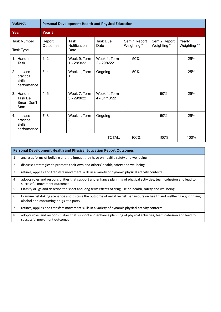| <b>Subject</b>                                    |                    | <b>Personal Development Health and Physical Education</b> |                               |                             |                             |                        |  |
|---------------------------------------------------|--------------------|-----------------------------------------------------------|-------------------------------|-----------------------------|-----------------------------|------------------------|--|
| Year                                              | Year <sub>8</sub>  |                                                           |                               |                             |                             |                        |  |
| <b>Task Number</b><br><b>Task Type</b>            | Report<br>Outcomes | Task<br>Notification<br>Date                              | <b>Task Due</b><br>Date       | Sem 1 Report<br>Weighting * | Sem 2 Report<br>Weighting * | Yearly<br>Weighting ** |  |
| 1. Hand-in<br>Task.                               | 1, 2               | Week 9, Term<br>$1 - 28/3/22$                             | Week 1, Term<br>$2 - 29/4/22$ | 50%                         |                             | 25%                    |  |
| 2. In class<br>practical<br>skills<br>performance | 3, 4               | Week 1, Term                                              | Ongoing                       | 50%                         |                             | 25%                    |  |
| 3. Hand-in<br>Task Be<br>Smart Don't<br>Start     | 5, 6               | Week 7, Term<br>$3 - 29/8/22$                             | Week 4, Term<br>4 - 31/10/22  |                             | 50%                         | 25%                    |  |
| 4. In class<br>practical<br>skills<br>performance | 7, 8               | Week 1, Term<br>3                                         | Ongoing                       |                             | 50%                         | 25%                    |  |
|                                                   | TOTAL:             |                                                           |                               |                             | 100%                        | 100%                   |  |

|                | <b>Personal Development Health and Physical Education Report Outcomes</b>                                                                                         |  |  |  |  |  |  |
|----------------|-------------------------------------------------------------------------------------------------------------------------------------------------------------------|--|--|--|--|--|--|
|                |                                                                                                                                                                   |  |  |  |  |  |  |
| 1              | analyses forms of bullying and the impact they have on health, safety and wellbeing                                                                               |  |  |  |  |  |  |
| $\overline{2}$ | discusses strategies to promote their own and others' health, safety and wellbeing                                                                                |  |  |  |  |  |  |
| 3              | refines, applies and transfers movement skills in a variety of dynamic physical activity contexts                                                                 |  |  |  |  |  |  |
| 4              | adopts roles and responsibilities that support and enhance planning of physical activities, team cohesion and lead to<br>successful movement outcomes             |  |  |  |  |  |  |
| 5              | Classify drugs and describe the short and long term effects of drug use on health, safety and wellbeing                                                           |  |  |  |  |  |  |
| 6              | Examine risk-taking scenarios and discuss the outcome of negative risk behaviours on health and wellbeing e.g. drinking<br>alcohol and consuming drugs at a party |  |  |  |  |  |  |
| 7              | refines, applies and transfers movement skills in a variety of dynamic physical activity contexts                                                                 |  |  |  |  |  |  |
| 8              | adopts roles and responsibilities that support and enhance planning of physical activities, team cohesion and lead to<br>successful movement outcomes             |  |  |  |  |  |  |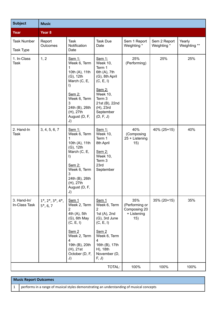| <b>Subject</b>                         | <b>Music</b>                          |                                                                                                                                                                            |                                                                                                                                                                                                                 |                                                             |                             |                        |  |
|----------------------------------------|---------------------------------------|----------------------------------------------------------------------------------------------------------------------------------------------------------------------------|-----------------------------------------------------------------------------------------------------------------------------------------------------------------------------------------------------------------|-------------------------------------------------------------|-----------------------------|------------------------|--|
| <b>Year</b>                            | Year <sub>8</sub>                     |                                                                                                                                                                            |                                                                                                                                                                                                                 |                                                             |                             |                        |  |
| <b>Task Number</b><br><b>Task Type</b> | Report<br>Outcomes                    | <b>Task</b><br>Notification<br>Date                                                                                                                                        | <b>Task Due</b><br>Date                                                                                                                                                                                         | Sem 1 Report<br>Weighting *                                 | Sem 2 Report<br>Weighting * | Yearly<br>Weighting ** |  |
| 1. In-Class<br>Task                    | 1, 2                                  | Sem 1:<br>Week 6, Term<br>10th (A), 11th<br>$(G)$ , 12th<br>March (C, E,<br>$\vert$<br>Sem 2:<br>Week 6, Term<br>3<br>24th (B), 26th<br>(H), 27th<br>August (D, F,<br>J)   | Sem 1:<br><b>Week 10,</b><br>Term 1<br>6th (A), 7th<br>(G), 8th April<br>(C, E, I)<br>Sem 2:<br><b>Week 10,</b><br>Term 3<br>21st (B), 22nd<br>(H), 23rd<br>September<br>(D, F, J)                              | 25%<br>(Performing)                                         | 25%                         | 25%                    |  |
| 2. Hand-In<br><b>Task</b>              | 3, 4, 5, 6, 7                         | Sem 1:<br>Week 6, Term<br>10th (A), 11th<br>$(G)$ , 12th<br>March (C, E,<br>$\vert$<br>Sem 2:<br>Week 6, Term<br>3<br>24th (B), 26th<br>(H), 27th<br>August (D, F,<br>J)   | Sem 1:<br><b>Week 10,</b><br>Term 1<br>8th April<br>Sem 2:<br><b>Week 10,</b><br>Term 3<br>23rd<br>September                                                                                                    | 40%<br>(Composing<br>25 + Listening<br>15)                  | $40\% (25+15)$              | 40%                    |  |
| 3. Hand-In/<br>In-Class Task           | $1^*, 2^*, 3^*, 4^*,$<br>$5^*$ , 6, 7 | Sem 1<br>Week 2, Term<br>2<br>4th (A), 5th<br>$(G)$ , 6th May<br>(C, E, I)<br>Sem <sub>2</sub><br>Week 2, Term<br>4<br>19th (B), 20th<br>(H), 21st<br>October (D, F,<br>J) | Sem <sub>1</sub><br>Week 6, Term<br>$\overline{2}$<br>1st (A), 2nd<br>$(G)$ , 3rd June<br>(C, E, I)<br>Sem <sub>2</sub><br>Week 6, Term<br>$\overline{4}$<br>16th (B), 17th<br>H), 18th<br>November (D,<br>F, J | 35%<br>(Performing or<br>Composing 20<br>+ Listening<br>15) | $35\% (20+15)$              | 35%                    |  |
|                                        |                                       |                                                                                                                                                                            | TOTAL:                                                                                                                                                                                                          | 100%                                                        | 100%                        | 100%                   |  |

**Music Report Outcomes** 1 | performs in a range of musical styles demonstrating an understanding of musical concepts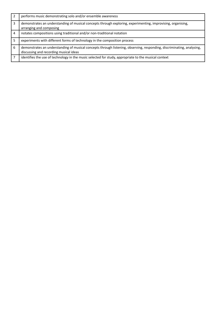|   | performs music demonstrating solo and/or ensemble awareness                                                                                                      |
|---|------------------------------------------------------------------------------------------------------------------------------------------------------------------|
| 3 | demonstrates an understanding of musical concepts through exploring, experimenting, improvising, organising,<br>arranging and composing                          |
| 4 | notates compositions using traditional and/or non-traditional notation                                                                                           |
| 5 | experiments with different forms of technology in the composition process                                                                                        |
| 6 | demonstrates an understanding of musical concepts through listening, observing, responding, discriminating, analysing,<br>discussing and recording musical ideas |
|   | identifies the use of technology in the music selected for study, appropriate to the musical context                                                             |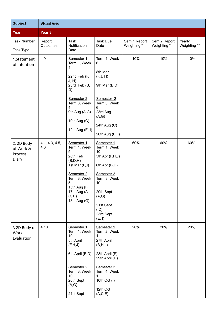| <b>Subject</b>                              | <b>Visual Arts</b>    |                                                                                                                                                                                  |                                                                                                                                                                                       |                             |                             |                        |
|---------------------------------------------|-----------------------|----------------------------------------------------------------------------------------------------------------------------------------------------------------------------------|---------------------------------------------------------------------------------------------------------------------------------------------------------------------------------------|-----------------------------|-----------------------------|------------------------|
| Year                                        | Year <sub>8</sub>     |                                                                                                                                                                                  |                                                                                                                                                                                       |                             |                             |                        |
| <b>Task Number</b><br>Task Type             | Report<br>Outcomes    | <b>Task</b><br>Notification<br>Date                                                                                                                                              | <b>Task Due</b><br>Date                                                                                                                                                               | Sem 1 Report<br>Weighting * | Sem 2 Report<br>Weighting * | Yearly<br>Weighting ** |
| 1.Statement<br>of Intention                 | 4.9                   | Semester 1<br>Term 1, Week<br>4<br>22nd Feb (F,<br>$J, H$ )<br>23rd Feb (B,<br>D)<br>Semester 2<br>Term 3, Week<br>4<br>9th Aug (A,G)<br>10th Aug (C)<br>12th Aug (E, I)         | Term 1, Week<br>6<br>8th Mar<br>(F,J, H)<br>9th Mar (B,D)<br>Semester <sub>2</sub><br>Term 3, Week<br>6<br>23rd Aug<br>(A,G)<br>24th Aug (C)<br>26th Aug (E, I)                       | 10%                         | 10%                         | 10%                    |
| 2. 2D Body<br>of Work &<br>Process<br>Diary | 4.1, 4.3, 4.5,<br>4.6 | Semester 1<br>Term 1, Week<br>5<br>28th Feb<br>(B,D,H)<br>1st Mar $(F, J)$<br>Semester <sub>2</sub><br>Term 3, Week<br>5<br>15th Aug (I)<br>17th Aug (A,<br>C, E<br>18th Aug (G) | Semester 1<br>Term 1, Week<br>10<br>5th Apr (F,H,J)<br>6th Apr (B,D)<br>Semester <sub>2</sub><br>Term 3, Week<br>10<br>20th Sept<br>(A,G)<br>21st Sept<br>(C)<br>23rd Sept<br>(E, I)  | 60%                         | 60%                         | 60%                    |
| 3.2D Body of<br>Work<br>Evaluation          | 4.10                  | Semester 1<br>Term 1, Week<br>10<br>5th April<br>(F,H,J)<br>6th April (B,D)<br>Semester 2<br>Term 3, Week<br>10<br>20th Sept<br>(A,G)<br>21st Sept                               | Semester 1<br>Term 2, Week<br>1<br>27th April<br>(B,H,J)<br>28th April (F)<br>29th April (D)<br>Semester <sub>2</sub><br>Term 4, Week<br>1<br>10th Oct $(I)$<br>12th Oct<br>(A, C, E) | 20%                         | 20%                         | 20%                    |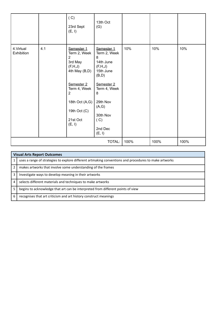|                          |     | (C)<br>23rd Sept<br>(E, I)                                                                                                                                                                               | 13th Oct<br>(G)                                                                                                                                                               |      |      |     |
|--------------------------|-----|----------------------------------------------------------------------------------------------------------------------------------------------------------------------------------------------------------|-------------------------------------------------------------------------------------------------------------------------------------------------------------------------------|------|------|-----|
| 4. Virtual<br>Exhibition | 4.1 | Semester 1<br>Term 2, Week<br>$\overline{2}$<br>3rd May<br>(F,H,J)<br>4th May (B,D)<br>Semester <sub>2</sub><br>Term 4, Week<br>$\overline{2}$<br>18th Oct (A,G)<br>19th Oct $(C)$<br>21st Oct<br>(E, I) | Semester 1<br>Term 2, Week<br>8<br>14th June<br>(F,H,J)<br>15th June<br>(B,D)<br>Semester 2<br>Term 4, Week<br>8<br>29th Nov<br>(A,G)<br>30th Nov<br>(C)<br>2nd Dec<br>(E, I) | 10%  | 10%  | 10% |
|                          |     |                                                                                                                                                                                                          | 100%                                                                                                                                                                          | 100% | 100% |     |

|    | <b>Visual Arts Report Outcomes</b>                                                                    |  |  |  |  |
|----|-------------------------------------------------------------------------------------------------------|--|--|--|--|
|    | uses a range of strategies to explore different artmaking conventions and procedures to make artworks |  |  |  |  |
|    | makes artworks that involve some understanding of the frames                                          |  |  |  |  |
| 3  | Investigate ways to develop meaning in their artworks                                                 |  |  |  |  |
| 4  | selects different materials and techniques to make artworks                                           |  |  |  |  |
| 5. | begins to acknowledge that art can be interpreted from different points of view                       |  |  |  |  |
| 6  | recognises that art criticism and art history construct meanings                                      |  |  |  |  |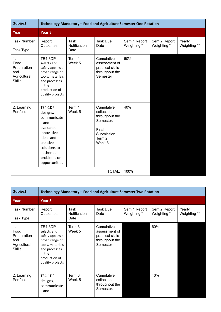| <b>Subject</b>                                                    | Technology Mandatory - Food and Agriculture Semester One Rotation                                                                                            |                                     |                                                                                                               |                             |                             |                        |  |
|-------------------------------------------------------------------|--------------------------------------------------------------------------------------------------------------------------------------------------------------|-------------------------------------|---------------------------------------------------------------------------------------------------------------|-----------------------------|-----------------------------|------------------------|--|
| Year                                                              | Year <sub>8</sub>                                                                                                                                            |                                     |                                                                                                               |                             |                             |                        |  |
| <b>Task Number</b><br>Task Type                                   | Report<br>Outcomes                                                                                                                                           | <b>Task</b><br>Notification<br>Date | <b>Task Due</b><br>Date                                                                                       | Sem 1 Report<br>Weighting * | Sem 2 Report<br>Weighting * | Yearly<br>Weighting ** |  |
| 1.<br>Food<br>Preparation<br>and<br>Agricultural<br><b>Skills</b> | TE4-3DP<br>selects and<br>safely applies a<br>broad range of<br>tools, materials<br>and processes<br>in the<br>production of<br>quality projects             | Term 1<br>Week 5                    | Cumulative<br>assessment of<br>practical skills<br>throughout the<br>Semester                                 | 60%                         |                             |                        |  |
| 2. Learning<br>Portfolio                                          | TE4-1DP<br>designs,<br>communicate<br>s and<br>evaluates<br>innovative<br>ideas and<br>creative<br>solutions to<br>authentic<br>problems or<br>opportunities | Term 1<br>Week 5                    | Cumulative<br>collection<br>throughout the<br>Semester.<br>Final<br>Submission<br>Term <sub>2</sub><br>Week 8 | 40%                         |                             |                        |  |
|                                                                   | <b>TOTAL:</b>                                                                                                                                                |                                     |                                                                                                               |                             |                             |                        |  |

| <b>Subject</b>                                                    | Technology Mandatory - Food and Agriculture Semester Two Rotation                                                                                |                              |                                                                               |                             |                             |                        |  |
|-------------------------------------------------------------------|--------------------------------------------------------------------------------------------------------------------------------------------------|------------------------------|-------------------------------------------------------------------------------|-----------------------------|-----------------------------|------------------------|--|
| Year                                                              | Year <sub>8</sub>                                                                                                                                |                              |                                                                               |                             |                             |                        |  |
| <b>Task Number</b><br>Task Type                                   | Report<br><b>Outcomes</b>                                                                                                                        | Task<br>Notification<br>Date | Task Due<br>Date                                                              | Sem 1 Report<br>Weighting * | Sem 2 Report<br>Weighting * | Yearly<br>Weighting ** |  |
| 1.<br>Food<br>Preparation<br>and<br>Agricultural<br><b>Skills</b> | TE4-3DP<br>selects and<br>safely applies a<br>broad range of<br>tools, materials<br>and processes<br>in the<br>production of<br>quality projects | Term 3<br>Week 5             | Cumulative<br>assessment of<br>practical skills<br>throughout the<br>Semester |                             | 60%                         |                        |  |
| 2. Learning<br>Portfolio                                          | <b>TE4-1DP</b><br>designs,<br>communicate<br>s and                                                                                               | Term 3<br>Week 5             | Cumulative<br>collection<br>throughout the<br>Semester.                       |                             | 40%                         |                        |  |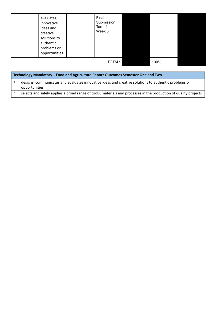| evaluates<br>innovative<br>ideas and<br>creative<br>solutions to<br>authentic<br>problems or<br>opportunities | Final<br>Submission<br>Term 4<br>Week 8 |  |  |
|---------------------------------------------------------------------------------------------------------------|-----------------------------------------|--|--|
|                                                                                                               | 100%                                    |  |  |

| Technology Mandatory - Food and Agriculture Report Outcomes Semester One and Two                                      |  |  |  |  |
|-----------------------------------------------------------------------------------------------------------------------|--|--|--|--|
| designs, communicates and evaluates innovative ideas and creative solutions to authentic problems or<br>opportunities |  |  |  |  |
| selects and safely applies a broad range of tools, materials and processes in the production of quality projects      |  |  |  |  |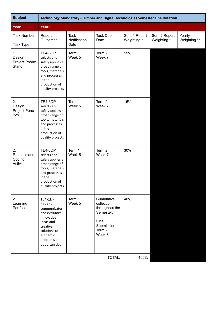| <b>Subject</b>                                    | Technology Mandatory - Timber and Digital Technologies Semester One Rotation                                                                             |                                     |                                                                                                    |                             |                             |                        |  |
|---------------------------------------------------|----------------------------------------------------------------------------------------------------------------------------------------------------------|-------------------------------------|----------------------------------------------------------------------------------------------------|-----------------------------|-----------------------------|------------------------|--|
| Year                                              | Year <sub>8</sub>                                                                                                                                        |                                     |                                                                                                    |                             |                             |                        |  |
| <b>Task Number</b><br>Task Type                   | Report<br>Outcomes                                                                                                                                       | <b>Task</b><br>Notification<br>Date | <b>Task Due</b><br>Date                                                                            | Sem 1 Report<br>Weighting * | Sem 2 Report<br>Weighting * | Yearly<br>Weighting ** |  |
| 1.<br>Design<br>Project Phone<br>Stand            | TE4-3DP<br>selects and<br>safely applies a<br>broad range of<br>tools, materials<br>and processes<br>in the<br>production of<br>quality projects         | Term 1<br>Week 5                    | Term 2<br>Week 7                                                                                   | 15%                         |                             |                        |  |
| 2.<br>Design<br>Project Pencil<br>Box             | TE4-3DP<br>selects and<br>safely applies a<br>broad range of<br>tools, materials<br>and processes<br>in the<br>production of<br>quality projects         | Term 1<br>Week 5                    | Term 2<br>Week 7                                                                                   | 15%                         |                             |                        |  |
| 2.<br>Robotics and<br>Coding<br><b>Activities</b> | TE4-3DP<br>selects and<br>safely applies a<br>broad range of<br>tools, materials<br>and processes<br>in the<br>production of<br>quality projects         | Term 1<br>Week 5                    | Term 2<br>Week 7                                                                                   | 30%                         |                             |                        |  |
| 2.<br>Learning<br>Portfolio                       | TE4-1DP<br>designs,<br>communicates<br>and evaluates<br>innovative<br>ideas and<br>creative<br>solutions to<br>authentic<br>problems or<br>opportunities | Term 1<br>Week 5                    | Cumulative<br>collection<br>throughout the<br>Semester.<br>Final<br>Submission<br>Term 2<br>Week 8 | 40%                         |                             |                        |  |
|                                                   |                                                                                                                                                          |                                     | TOTAL:                                                                                             | 100%                        |                             |                        |  |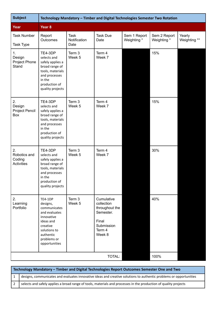| <b>Subject</b>                                    | Technology Mandatory - Timber and Digital Technologies Semester Two Rotation                                                                             |                                     |                                                                                                    |                             |                             |                        |
|---------------------------------------------------|----------------------------------------------------------------------------------------------------------------------------------------------------------|-------------------------------------|----------------------------------------------------------------------------------------------------|-----------------------------|-----------------------------|------------------------|
| Year                                              | Year <sub>8</sub>                                                                                                                                        |                                     |                                                                                                    |                             |                             |                        |
| <b>Task Number</b><br><b>Task Type</b>            | Report<br>Outcomes                                                                                                                                       | <b>Task</b><br>Notification<br>Date | <b>Task Due</b><br>Date                                                                            | Sem 1 Report<br>Weighting * | Sem 2 Report<br>Weighting * | Yearly<br>Weighting ** |
| 1.<br>Design<br>Project Phone<br>Stand            | TE4-3DP<br>selects and<br>safely applies a<br>broad range of<br>tools, materials<br>and processes<br>in the<br>production of<br>quality projects         | Term 3<br>Week 5                    | Term 4<br>Week 7                                                                                   |                             | 15%                         |                        |
| 2.<br>Design<br>Project Pencil<br>Box             | TE4-3DP<br>selects and<br>safely applies a<br>broad range of<br>tools, materials<br>and processes<br>in the<br>production of<br>quality projects         | Term 3<br>Week 5                    | Term 4<br>Week 7                                                                                   |                             | 15%                         |                        |
| 2.<br>Robotics and<br>Coding<br><b>Activities</b> | TE4-3DP<br>selects and<br>safely applies a<br>broad range of<br>tools, materials<br>and processes<br>in the<br>production of<br>quality projects         | Term 3<br>Week 5                    | Term 4<br>Week 7                                                                                   |                             | 30%                         |                        |
| 2.<br>Learning<br>Portfolio                       | TE4-1DP<br>designs,<br>communicates<br>and evaluates<br>innovative<br>ideas and<br>creative<br>solutions to<br>authentic<br>problems or<br>opportunities | Term 3<br>Week 5                    | Cumulative<br>collection<br>throughout the<br>Semester.<br>Final<br>Submission<br>Term 4<br>Week 8 |                             | 40%                         |                        |
|                                                   |                                                                                                                                                          |                                     | TOTAL:                                                                                             |                             | 100%                        |                        |

| Technology Mandatory - Timber and Digital Technologies Report Outcomes Semester One and Two                        |  |  |  |
|--------------------------------------------------------------------------------------------------------------------|--|--|--|
| designs, communicates and evaluates innovative ideas and creative solutions to authentic problems or opportunities |  |  |  |
| selects and safely applies a broad range of tools, materials and processes in the production of quality projects   |  |  |  |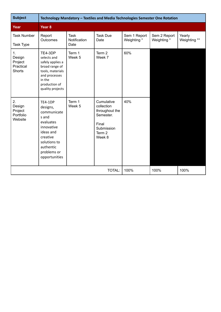| <b>Subject</b>                                        | Technology Mandatory - Textiles and Media Technologies Semester One Rotation                                                                                        |                                     |                                                                                                    |                             |                             |                        |
|-------------------------------------------------------|---------------------------------------------------------------------------------------------------------------------------------------------------------------------|-------------------------------------|----------------------------------------------------------------------------------------------------|-----------------------------|-----------------------------|------------------------|
| Year                                                  | Year 8                                                                                                                                                              |                                     |                                                                                                    |                             |                             |                        |
| <b>Task Number</b><br>Task Type                       | Report<br>Outcomes                                                                                                                                                  | <b>Task</b><br>Notification<br>Date | <b>Task Due</b><br>Date                                                                            | Sem 1 Report<br>Weighting * | Sem 2 Report<br>Weighting * | Yearly<br>Weighting ** |
| 1.<br>Design<br>Project<br>Practical<br><b>Shorts</b> | TE4-3DP<br>selects and<br>safely applies a<br>broad range of<br>tools, materials<br>and processes<br>in the<br>production of<br>quality projects                    | Term 1<br>Week <sub>5</sub>         | Term 2<br>Week 7                                                                                   | 60%                         |                             |                        |
| 2.<br>Design<br>Project<br>Portfolio<br>Website       | <b>TE4-1DP</b><br>designs,<br>communicate<br>s and<br>evaluates<br>innovative<br>ideas and<br>creative<br>solutions to<br>authentic<br>problems or<br>opportunities | Term 1<br>Week 5                    | Cumulative<br>collection<br>throughout the<br>Semester.<br>Final<br>Submission<br>Term 2<br>Week 8 | 40%                         |                             |                        |
|                                                       |                                                                                                                                                                     |                                     | <b>TOTAL:</b>                                                                                      | 100%                        | 100%                        | 100%                   |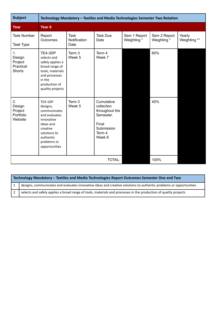| <b>Subject</b>                                  | Technology Mandatory - Textiles and Media Technologies Semester Two Rotation                                                                             |                                     |                                                                                                    |                             |                             |                        |
|-------------------------------------------------|----------------------------------------------------------------------------------------------------------------------------------------------------------|-------------------------------------|----------------------------------------------------------------------------------------------------|-----------------------------|-----------------------------|------------------------|
| Year                                            | Year <sub>8</sub>                                                                                                                                        |                                     |                                                                                                    |                             |                             |                        |
| <b>Task Number</b><br>Task Type                 | Report<br>Outcomes                                                                                                                                       | <b>Task</b><br>Notification<br>Date | <b>Task Due</b><br>Date                                                                            | Sem 1 Report<br>Weighting * | Sem 2 Report<br>Weighting * | Yearly<br>Weighting ** |
| 1.<br>Design<br>Project<br>Practical<br>Shorts  | TE4-3DP<br>selects and<br>safely applies a<br>broad range of<br>tools, materials<br>and processes<br>in the<br>production of<br>quality projects         | Term 3<br>Week <sub>5</sub>         | Term 4<br>Week 7                                                                                   |                             | 60%                         |                        |
| 2.<br>Design<br>Project<br>Portfolio<br>Website | TE4-1DP<br>designs,<br>communicates<br>and evaluates<br>innovative<br>ideas and<br>creative<br>solutions to<br>authentic<br>problems or<br>opportunities | Term 3<br>Week <sub>5</sub>         | Cumulative<br>collection<br>throughout the<br>Semester.<br>Final<br>Submission<br>Term 4<br>Week 8 |                             | 40%                         |                        |
|                                                 |                                                                                                                                                          |                                     | <b>TOTAL:</b>                                                                                      |                             | 100%                        |                        |

| Technology Mandatory - Textiles and Media Technologies Report Outcomes Semester One and Two                        |  |  |  |  |
|--------------------------------------------------------------------------------------------------------------------|--|--|--|--|
| designs, communicates and evaluates innovative ideas and creative solutions to authentic problems or opportunities |  |  |  |  |
| selects and safely applies a broad range of tools, materials and processes in the production of quality projects   |  |  |  |  |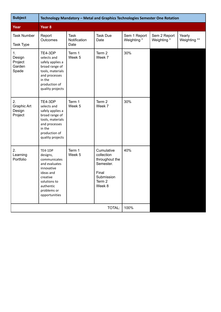| <b>Subject</b>                             | Technology Mandatory - Metal and Graphics Technologies Semester One Rotation                                                                             |                                     |                                                                                                    |                             |                             |                        |
|--------------------------------------------|----------------------------------------------------------------------------------------------------------------------------------------------------------|-------------------------------------|----------------------------------------------------------------------------------------------------|-----------------------------|-----------------------------|------------------------|
| Year                                       | Year <sub>8</sub>                                                                                                                                        |                                     |                                                                                                    |                             |                             |                        |
| <b>Task Number</b><br><b>Task Type</b>     | Report<br>Outcomes                                                                                                                                       | <b>Task</b><br>Notification<br>Date | <b>Task Due</b><br>Date                                                                            | Sem 1 Report<br>Weighting * | Sem 2 Report<br>Weighting * | Yearly<br>Weighting ** |
| 1.<br>Design<br>Project<br>Garden<br>Spade | TE4-3DP<br>selects and<br>safely applies a<br>broad range of<br>tools, materials<br>and processes<br>in the<br>production of<br>quality projects         | Term 1<br>Week 5                    | Term <sub>2</sub><br>Week 7                                                                        | 30%                         |                             |                        |
| 2.<br>Graphic Art<br>Design<br>Project     | TE4-3DP<br>selects and<br>safely applies a<br>broad range of<br>tools, materials<br>and processes<br>in the<br>production of<br>quality projects         | Term 1<br>Week 5                    | Term <sub>2</sub><br>Week 7                                                                        | 30%                         |                             |                        |
| 2.<br>Learning<br>Portfolio                | TE4-1DP<br>designs,<br>communicates<br>and evaluates<br>innovative<br>ideas and<br>creative<br>solutions to<br>authentic<br>problems or<br>opportunities | Term 1<br>Week 5                    | Cumulative<br>collection<br>throughout the<br>Semester.<br>Final<br>Submission<br>Term 2<br>Week 8 | 40%                         |                             |                        |
|                                            |                                                                                                                                                          |                                     | TOTAL:                                                                                             | 100%                        |                             |                        |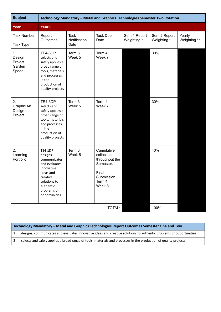| <b>Subject</b>                             | Technology Mandatory - Metal and Graphics Technologies Semester Two Rotation                                                                             |                                     |                                                                                                    |                             |                             |                        |
|--------------------------------------------|----------------------------------------------------------------------------------------------------------------------------------------------------------|-------------------------------------|----------------------------------------------------------------------------------------------------|-----------------------------|-----------------------------|------------------------|
| Year                                       | Year <sub>8</sub>                                                                                                                                        |                                     |                                                                                                    |                             |                             |                        |
| <b>Task Number</b><br>Task Type            | Report<br>Outcomes                                                                                                                                       | <b>Task</b><br>Notification<br>Date | <b>Task Due</b><br>Date                                                                            | Sem 1 Report<br>Weighting * | Sem 2 Report<br>Weighting * | Yearly<br>Weighting ** |
| 1.<br>Design<br>Project<br>Garden<br>Spade | TE4-3DP<br>selects and<br>safely applies a<br>broad range of<br>tools, materials<br>and processes<br>in the<br>production of<br>quality projects         | Term 3<br>Week 5                    | Term 4<br>Week 7                                                                                   |                             | 30%                         |                        |
| 2.<br>Graphic Art<br>Design<br>Project     | TE4-3DP<br>selects and<br>safely applies a<br>broad range of<br>tools, materials<br>and processes<br>in the<br>production of<br>quality projects         | Term 3<br>Week 5                    | Term 4<br>Week 7                                                                                   |                             | 30%                         |                        |
| 2.<br>Learning<br>Portfolio                | TE4-1DP<br>designs,<br>communicates<br>and evaluates<br>innovative<br>ideas and<br>creative<br>solutions to<br>authentic<br>problems or<br>opportunities | Term 3<br>Week 5                    | Cumulative<br>collection<br>throughout the<br>Semester.<br>Final<br>Submission<br>Term 4<br>Week 8 |                             | 40%                         |                        |
|                                            |                                                                                                                                                          |                                     | TOTAL:                                                                                             |                             | 100%                        |                        |

| Technology Mandatory - Metal and Graphics Technologies Report Outcomes Semester One and Two                        |  |  |  |
|--------------------------------------------------------------------------------------------------------------------|--|--|--|
| designs, communicates and evaluates innovative ideas and creative solutions to authentic problems or opportunities |  |  |  |
| selects and safely applies a broad range of tools, materials and processes in the production of quality projects   |  |  |  |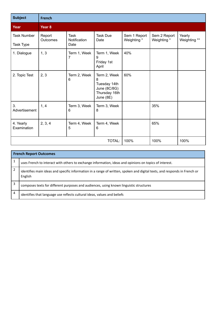| <b>Subject</b>                  | <b>French</b>      |                                     |                                                                                 |                             |                             |                        |
|---------------------------------|--------------------|-------------------------------------|---------------------------------------------------------------------------------|-----------------------------|-----------------------------|------------------------|
| Year                            | Year <sub>8</sub>  |                                     |                                                                                 |                             |                             |                        |
| <b>Task Number</b><br>Task Type | Report<br>Outcomes | <b>Task</b><br>Notification<br>Date | <b>Task Due</b><br>Date                                                         | Sem 1 Report<br>Weighting * | Sem 2 Report<br>Weighting * | Yearly<br>Weighting ** |
| 1. Dialogue                     | 1, 3               | Term 1, Week<br>$\overline{7}$      | Term 1, Week<br>9<br>Friday 1st<br>April                                        | 40%                         |                             |                        |
| 2. Topic Test                   | 2, 3               | Term 2, Week<br>6                   | Term 2, Week<br>8<br>Tuesday 14th<br>June (8C/8G)<br>Thursday 16th<br>June (8E) | 60%                         |                             |                        |
| 3.<br>Advertisement             | 1, 4               | Term 3, Week<br>6                   | Term 3, Week<br>8                                                               |                             | 35%                         |                        |
| 4. Yearly<br>Examination        | 2, 3, 4            | Term 4, Week<br>5                   | Term 4, Week<br>6                                                               |                             | 65%                         |                        |
|                                 |                    |                                     | <b>TOTAL:</b>                                                                   | 100%                        | 100%                        | 100%                   |

|   | <b>French Report Outcomes</b>                                                                                                        |
|---|--------------------------------------------------------------------------------------------------------------------------------------|
|   | uses French to interact with others to exchange information, ideas and opinions on topics of interest.                               |
| 2 | identifies main ideas and specific information in a range of written, spoken and digital texts, and responds in French or<br>English |
| 3 | composes texts for different purposes and audiences, using known linguistic structures                                               |
| 4 | identifies that language use reflects cultural ideas, values and beliefs                                                             |